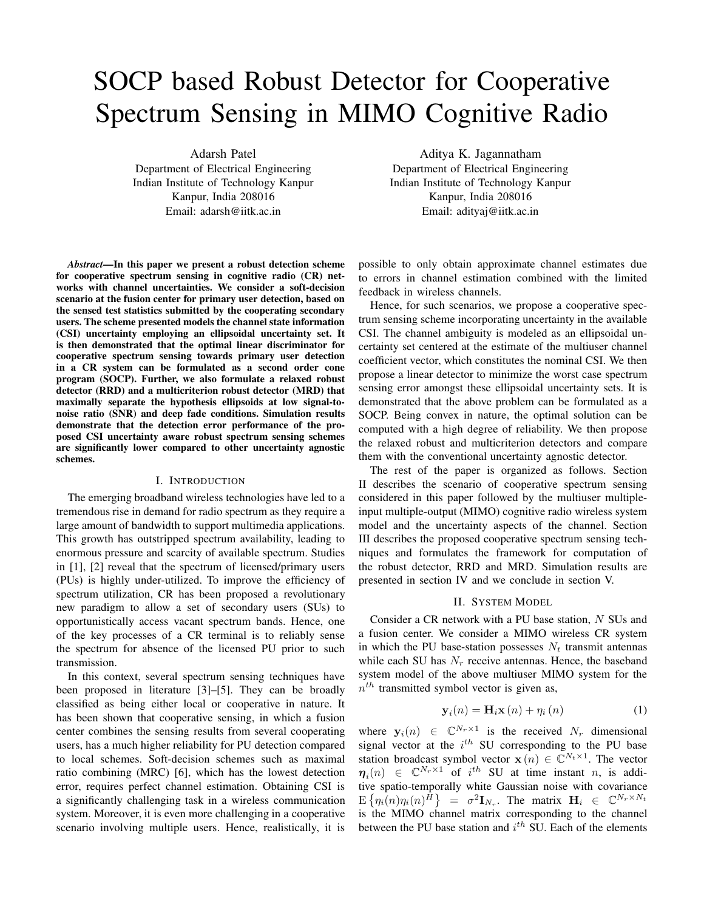# SOCP based Robust Detector for Cooperative Spectrum Sensing in MIMO Cognitive Radio

Adarsh Patel

Department of Electrical Engineering Indian Institute of Technology Kanpur Kanpur, India 208016 Email: adarsh@iitk.ac.in

*Abstract***—In this paper we present a robust detection scheme for cooperative spectrum sensing in cognitive radio (CR) networks with channel uncertainties. We consider a soft-decision scenario at the fusion center for primary user detection, based on the sensed test statistics submitted by the cooperating secondary users. The scheme presented models the channel state information (CSI) uncertainty employing an ellipsoidal uncertainty set. It is then demonstrated that the optimal linear discriminator for cooperative spectrum sensing towards primary user detection in a CR system can be formulated as a second order cone program (SOCP). Further, we also formulate a relaxed robust detector (RRD) and a multicriterion robust detector (MRD) that maximally separate the hypothesis ellipsoids at low signal-tonoise ratio (SNR) and deep fade conditions. Simulation results demonstrate that the detection error performance of the proposed CSI uncertainty aware robust spectrum sensing schemes are significantly lower compared to other uncertainty agnostic schemes.**

## I. INTRODUCTION

The emerging broadband wireless technologies have led to a tremendous rise in demand for radio spectrum as they require a large amount of bandwidth to support multimedia applications. This growth has outstripped spectrum availability, leading to enormous pressure and scarcity of available spectrum. Studies in [1], [2] reveal that the spectrum of licensed/primary users (PUs) is highly under-utilized. To improve the efficiency of spectrum utilization, CR has been proposed a revolutionary new paradigm to allow a set of secondary users (SUs) to opportunistically access vacant spectrum bands. Hence, one of the key processes of a CR terminal is to reliably sense the spectrum for absence of the licensed PU prior to such transmission.

In this context, several spectrum sensing techniques have been proposed in literature [3]–[5]. They can be broadly classified as being either local or cooperative in nature. It has been shown that cooperative sensing, in which a fusion center combines the sensing results from several cooperating users, has a much higher reliability for PU detection compared to local schemes. Soft-decision schemes such as maximal ratio combining (MRC) [6], which has the lowest detection error, requires perfect channel estimation. Obtaining CSI is a significantly challenging task in a wireless communication system. Moreover, it is even more challenging in a cooperative scenario involving multiple users. Hence, realistically, it is

Aditya K. Jagannatham Department of Electrical Engineering Indian Institute of Technology Kanpur Kanpur, India 208016 Email: adityaj@iitk.ac.in

possible to only obtain approximate channel estimates due to errors in channel estimation combined with the limited feedback in wireless channels.

Hence, for such scenarios, we propose a cooperative spectrum sensing scheme incorporating uncertainty in the available CSI. The channel ambiguity is modeled as an ellipsoidal uncertainty set centered at the estimate of the multiuser channel coefficient vector, which constitutes the nominal CSI. We then propose a linear detector to minimize the worst case spectrum sensing error amongst these ellipsoidal uncertainty sets. It is demonstrated that the above problem can be formulated as a SOCP. Being convex in nature, the optimal solution can be computed with a high degree of reliability. We then propose the relaxed robust and multicriterion detectors and compare them with the conventional uncertainty agnostic detector.

The rest of the paper is organized as follows. Section II describes the scenario of cooperative spectrum sensing considered in this paper followed by the multiuser multipleinput multiple-output (MIMO) cognitive radio wireless system model and the uncertainty aspects of the channel. Section III describes the proposed cooperative spectrum sensing techniques and formulates the framework for computation of the robust detector, RRD and MRD. Simulation results are presented in section IV and we conclude in section V.

### II. SYSTEM MODEL

Consider a CR network with a PU base station,  $N$  SUs and a fusion center. We consider a MIMO wireless CR system in which the PU base-station possesses  $N_t$  transmit antennas while each SU has  $N_r$  receive antennas. Hence, the baseband system model of the above multiuser MIMO system for the  $n<sup>th</sup>$  transmitted symbol vector is given as,

$$
\mathbf{y}_{i}(n) = \mathbf{H}_{i}\mathbf{x}(n) + \eta_{i}(n) \tag{1}
$$

where  $y_i(n) \in \mathbb{C}^{N_r \times 1}$  is the received  $N_r$  dimensional signal vector at the  $i^{th}$  SU corresponding to the PU base station broadcast symbol vector  $\mathbf{x}(n) \in \mathbb{C}^{N_t \times 1}$ . The vector  $\eta_i(n) \in \mathbb{C}^{N_r \times 1}$  of  $i^{th}$  SU at time instant n, is additive spatio-temporally white Gaussian noise with covariance  $\mathbb{E} \left\{ \eta_i(n) \eta_i(n)^{\hat{H}} \right\} = \sigma^2 \mathbf{I}_{N_r}$ . The matrix  $\mathbf{H}_i \in \mathbb{C}^{N_r \times N_t}$ is the MIMO channel matrix corresponding to the channel between the PU base station and  $i^{th}$  SU. Each of the elements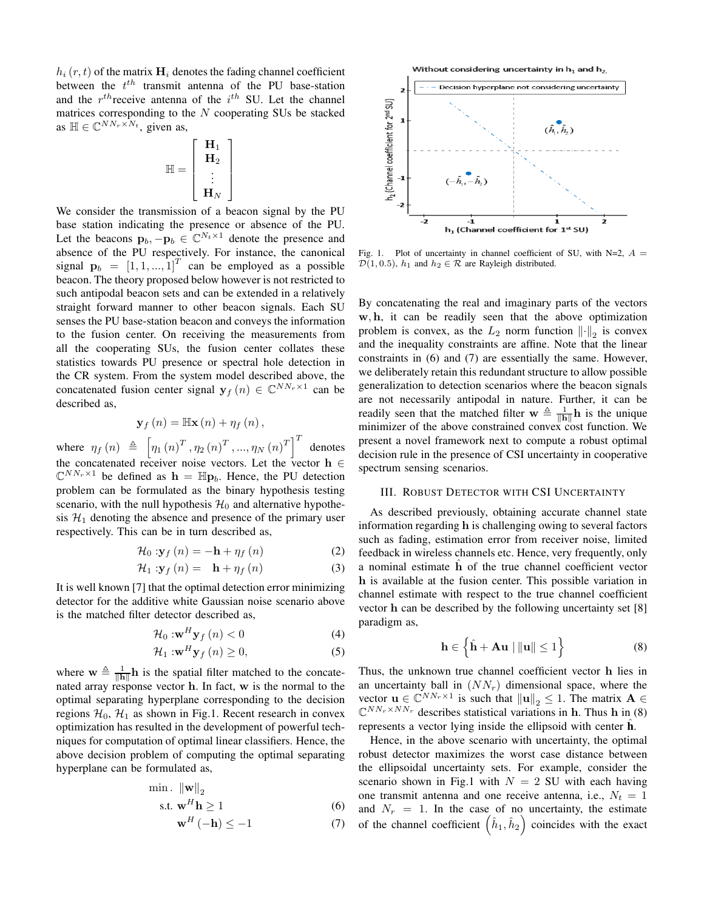$h_i(r, t)$  of the matrix  $H_i$  denotes the fading channel coefficient between the  $t^{th}$  transmit antenna of the PU base-station and the  $r^{th}$  receive antenna of the  $i^{th}$  SU. Let the channel matrices corresponding to the  $N$  cooperating SUs be stacked as  $\mathbb{H} \in \mathbb{C}^{NN_r \times N_t}$ , given as,

$$
\mathbb{H} = \left[ \begin{array}{c} \mathbf{H}_1 \\ \mathbf{H}_2 \\ \vdots \\ \mathbf{H}_N \end{array} \right]
$$

We consider the transmission of a beacon signal by the PU base station indicating the presence or absence of the PU. Let the beacons  $\mathbf{p}_b$ ,  $-\mathbf{p}_b \in \mathbb{C}^{N_t \times 1}$  denote the presence and absence of the PU respectively. For instance, the canonical signal  $\mathbf{p}_b = \begin{bmatrix} 1, 1, ..., 1 \end{bmatrix}^T$  can be employed as a possible beacon. The theory proposed below however is not restricted to such antipodal beacon sets and can be extended in a relatively straight forward manner to other beacon signals. Each SU senses the PU base-station beacon and conveys the information to the fusion center. On receiving the measurements from all the cooperating SUs, the fusion center collates these statistics towards PU presence or spectral hole detection in the CR system. From the system model described above, the concatenated fusion center signal  $y_f(n) \in \mathbb{C}^{NN_r \times 1}$  can be described as,

$$
\mathbf{y}_{f}\left( n\right) =\mathbb{H}\mathbf{x}\left( n\right) +\eta _{f}\left( n\right) ,
$$

where  $\eta_f(n) \triangleq \left[ \eta_1(n)^T, \eta_2(n)^T, ..., \eta_N(n)^T \right]^T$  denotes the concatenated receiver noise vectors. Let the vector  $h \in$  $\mathbb{C}^{NN_r\times 1}$  be defined as  $\mathbf{h} = \mathbb{H}\mathbf{p}_b$ . Hence, the PU detection problem can be formulated as the binary hypothesis testing scenario, with the null hypothesis  $\mathcal{H}_0$  and alternative hypothesis  $\mathcal{H}_1$  denoting the absence and presence of the primary user respectively. This can be in turn described as,

$$
\mathcal{H}_0: \mathbf{y}_f(n) = -\mathbf{h} + \eta_f(n) \tag{2}
$$

$$
\mathcal{H}_1: \mathbf{y}_f(n) = \mathbf{h} + \eta_f(n) \tag{3}
$$

It is well known [7] that the optimal detection error minimizing detector for the additive white Gaussian noise scenario above is the matched filter detector described as,

$$
\mathcal{H}_0: \mathbf{w}^H \mathbf{y}_f(n) < 0 \tag{4}
$$

$$
\mathcal{H}_1: \mathbf{w}^H \mathbf{y}_f(n) \ge 0,\tag{5}
$$

where  $\mathbf{w} \triangleq \frac{1}{\|\mathbf{h}\|} \mathbf{h}$  is the spatial filter matched to the concatenated array response vector h. In fact, w is the normal to the optimal separating hyperplane corresponding to the decision regions  $H_0$ ,  $H_1$  as shown in Fig.1. Recent research in convex optimization has resulted in the development of powerful techniques for computation of optimal linear classifiers. Hence, the above decision problem of computing the optimal separating hyperplane can be formulated as,

$$
\begin{aligned}\n\min. & \| \mathbf{w} \|_2 \\
\text{s.t. } \mathbf{w}^H \mathbf{h} \ge 1\n\end{aligned} \tag{6}
$$

$$
\mathbf{w}^H \left( -\mathbf{h} \right) \le -1 \tag{7}
$$

Without considering uncertainty in  $h_1$  and  $h_2$ 



Fig. 1. Plot of uncertainty in channel coefficient of SU, with N=2,  $A =$  $\overline{\mathcal{D}}(1, 0.5)$ ,  $h_1$  and  $h_2 \in \mathcal{R}$  are Rayleigh distributed.

By concatenating the real and imaginary parts of the vectors w, h, it can be readily seen that the above optimization problem is convex, as the  $L_2$  norm function  $\left\| \cdot \right\|_2$  is convex and the inequality constraints are affine. Note that the linear constraints in (6) and (7) are essentially the same. However, we deliberately retain this redundant structure to allow possible generalization to detection scenarios where the beacon signals are not necessarily antipodal in nature. Further, it can be readily seen that the matched filter  $\mathbf{w} \triangleq \frac{1}{\|\mathbf{h}\|} \mathbf{h}$  is the unique minimizer of the above constrained convex cost function. We present a novel framework next to compute a robust optimal decision rule in the presence of CSI uncertainty in cooperative spectrum sensing scenarios.

## III. ROBUST DETECTOR WITH CSI UNCERTAINTY

As described previously, obtaining accurate channel state information regarding h is challenging owing to several factors such as fading, estimation error from receiver noise, limited feedback in wireless channels etc. Hence, very frequently, only a nominal estimate h of the true channel coefficient vector h is available at the fusion center. This possible variation in channel estimate with respect to the true channel coefficient vector h can be described by the following uncertainty set [8] paradigm as,

$$
\mathbf{h} \in \left\{ \hat{\mathbf{h}} + \mathbf{A}\mathbf{u} \mid \|\mathbf{u}\| \le 1 \right\}
$$
 (8)

Thus, the unknown true channel coefficient vector h lies in an uncertainty ball in  $(NN_r)$  dimensional space, where the vector  $\mathbf{u} \in \mathbb{C}^{NN_r \times 1}$  is such that  $\|\mathbf{u}\|_2 \leq 1$ . The matrix  $\mathbf{A} \in$  $\mathbb{C}^{NN_r \times NN_r}$  describes statistical variations in h. Thus h in (8) represents a vector lying inside the ellipsoid with center  $\hat{h}$ .

Hence, in the above scenario with uncertainty, the optimal robust detector maximizes the worst case distance between the ellipsoidal uncertainty sets. For example, consider the scenario shown in Fig.1 with  $N = 2$  SU with each having one transmit antenna and one receive antenna, i.e.,  $N_t = 1$ and  $N_r = 1$ . In the case of no uncertainty, the estimate of the channel coefficient  $(\hat{h}_1, \hat{h}_2)$  coincides with the exact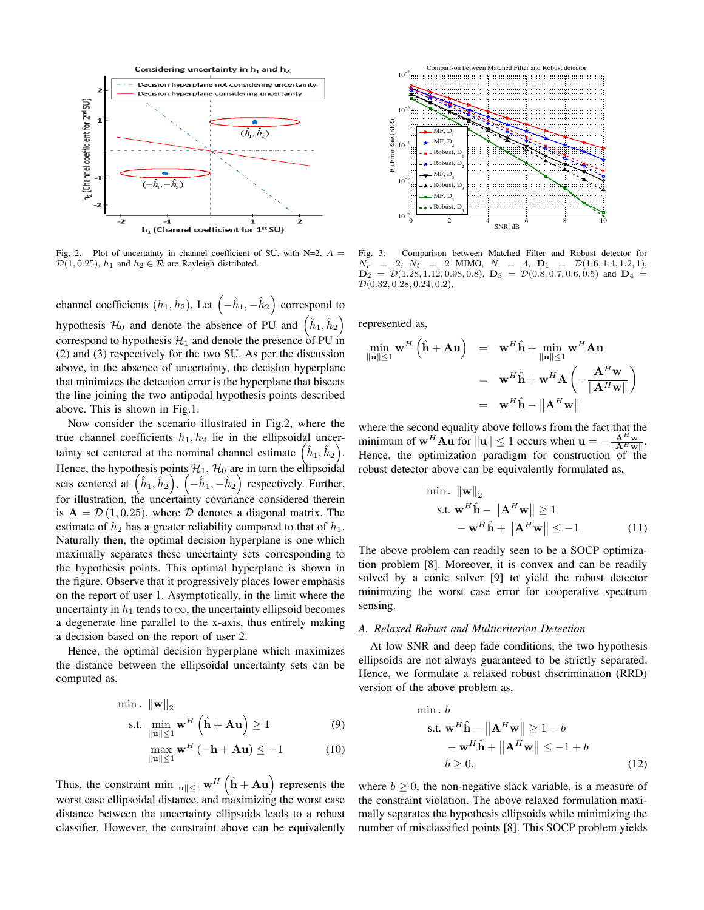

Fig. 2. Plot of uncertainty in channel coefficient of SU, with N=2,  $A =$  $\overline{\mathcal{D}}(1, 0.25)$ ,  $h_1$  and  $h_2 \in \mathcal{R}$  are Rayleigh distributed.

channel coefficients  $(h_1, h_2)$ . Let  $\left(-\hat{h}_1, -\hat{h}_2\right)$  correspond to hypothesis  $\mathcal{H}_0$  and denote the absence of PU and  $(\hat{h}_1, \hat{h}_2)$ correspond to hypothesis  $\mathcal{H}_1$  and denote the presence of PU in (2) and (3) respectively for the two SU. As per the discussion above, in the absence of uncertainty, the decision hyperplane that minimizes the detection error is the hyperplane that bisects the line joining the two antipodal hypothesis points described above. This is shown in Fig.1.

Now consider the scenario illustrated in Fig.2, where the true channel coefficients  $h_1, h_2$  lie in the ellipsoidal uncertainty set centered at the nominal channel estimate  $(\hat{h}_1, \hat{h}_2)$ . Hence, the hypothesis points  $\mathcal{H}_1$ ,  $\mathcal{H}_0$  are in turn the ellipsoidal sets centered at  $(\hat{h}_1, \hat{h}_2), (-\hat{h}_1, -\hat{h}_2)$  respectively. Further, for illustration, the uncertainty covariance considered therein is  $A = \mathcal{D}(1, 0.25)$ , where  $\mathcal D$  denotes a diagonal matrix. The estimate of  $h_2$  has a greater reliability compared to that of  $h_1$ . Naturally then, the optimal decision hyperplane is one which maximally separates these uncertainty sets corresponding to the hypothesis points. This optimal hyperplane is shown in the figure. Observe that it progressively places lower emphasis on the report of user 1. Asymptotically, in the limit where the uncertainty in  $h_1$  tends to  $\infty$ , the uncertainty ellipsoid becomes a degenerate line parallel to the x-axis, thus entirely making a decision based on the report of user 2.

Hence, the optimal decision hyperplane which maximizes the distance between the ellipsoidal uncertainty sets can be computed as,

$$
\min. \|\mathbf{w}\|_2
$$
  
s.t. 
$$
\min_{\|\mathbf{u}\| \le 1} \mathbf{w}^H \left(\hat{\mathbf{h}} + \mathbf{A}\mathbf{u}\right) \ge 1
$$
 (9)

$$
\max_{\|\mathbf{u}\| \le 1} \mathbf{w}^H \left(-\mathbf{h} + \mathbf{A}\mathbf{u}\right) \le -1 \tag{10}
$$

Thus, the constraint  $\min_{\|\mathbf{u}\| \leq 1} \mathbf{w}^H(\hat{\mathbf{h}} + \mathbf{A}\mathbf{u})$  represents the worst case ellipsoidal distance, and maximizing the worst case distance between the uncertainty ellipsoids leads to a robust classifier. However, the constraint above can be equivalently



Fig. 3. Comparison between Matched Filter and Robust detector for  $N_r = 2$ ,  $N_t = 2$  MIMO,  $N = 4$ ,  $D_1 = \mathcal{D}(1.6, 1.4, 1.2, 1)$ ,  $D_2 = \mathcal{D}(1.28, 1.12, 0.98, 0.8), \ D_3 = \mathcal{D}(0.8, 0.7, 0.6, 0.5)$  and  $D_4 =$  $\mathcal{D}(0.32, 0.28, 0.24, 0.2)$ .

represented as,

$$
\min_{\|\mathbf{u}\| \le 1} \mathbf{w}^H \left( \hat{\mathbf{h}} + \mathbf{A} \mathbf{u} \right) = \mathbf{w}^H \hat{\mathbf{h}} + \min_{\|\mathbf{u}\| \le 1} \mathbf{w}^H \mathbf{A} \mathbf{u}
$$

$$
= \mathbf{w}^H \hat{\mathbf{h}} + \mathbf{w}^H \mathbf{A} \left( -\frac{\mathbf{A}^H \mathbf{w}}{\|\mathbf{A}^H \mathbf{w}\|} \right)
$$

$$
= \mathbf{w}^H \hat{\mathbf{h}} - \|\mathbf{A}^H \mathbf{w}\|
$$

where the second equality above follows from the fact that the minimum of  $w^H A u$  for  $||u|| \leq 1$  occurs when  $u = -\frac{A^H w}{||A^H w||}$  $\| \mathbf{A}^{H} \mathbf{w} \|$ . Hence, the optimization paradigm for construction of the robust detector above can be equivalently formulated as,

$$
\begin{aligned}\n\min. & \| \mathbf{w} \|_2 \\
\text{s.t. } \mathbf{w}^H \hat{\mathbf{h}} - \| \mathbf{A}^H \mathbf{w} \| \ge 1 \\
& - \mathbf{w}^H \hat{\mathbf{h}} + \| \mathbf{A}^H \mathbf{w} \| \le -1\n\end{aligned} \tag{11}
$$

The above problem can readily seen to be a SOCP optimization problem [8]. Moreover, it is convex and can be readily solved by a conic solver [9] to yield the robust detector minimizing the worst case error for cooperative spectrum sensing.

#### *A. Relaxed Robust and Multicriterion Detection*

At low SNR and deep fade conditions, the two hypothesis ellipsoids are not always guaranteed to be strictly separated. Hence, we formulate a relaxed robust discrimination (RRD) version of the above problem as,

$$
\begin{aligned}\n\min. & b \\
\text{s.t. } \mathbf{w}^H \hat{\mathbf{h}} - \|\mathbf{A}^H \mathbf{w}\| \ge 1 - b \\
&\quad -\mathbf{w}^H \hat{\mathbf{h}} + \|\mathbf{A}^H \mathbf{w}\| \le -1 + b \\
&\quad b \ge 0.\n\end{aligned} \tag{12}
$$

where  $b \geq 0$ , the non-negative slack variable, is a measure of the constraint violation. The above relaxed formulation maximally separates the hypothesis ellipsoids while minimizing the number of misclassified points [8]. This SOCP problem yields